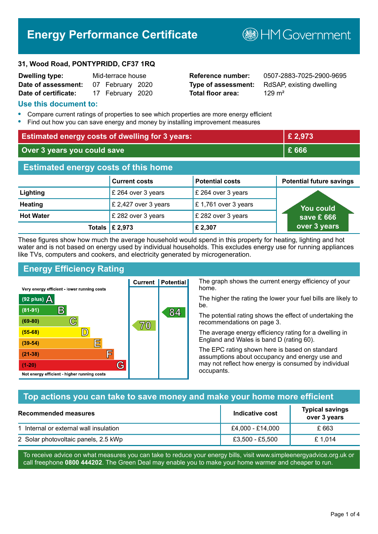# **Energy Performance Certificate**

**B**HMGovernment

#### **31, Wood Road, PONTYPRIDD, CF37 1RQ**

| <b>Dwelling type:</b> | Mid-terrace house |                  |  |
|-----------------------|-------------------|------------------|--|
| Date of assessment:   |                   | 07 February 2020 |  |
| Date of certificate:  |                   | 17 February 2020 |  |

# **Total floor area:** 129 m<sup>2</sup>

**Reference number:** 0507-2883-7025-2900-9695 **Type of assessment:** RdSAP, existing dwelling

#### **Use this document to:**

- **•** Compare current ratings of properties to see which properties are more energy efficient
- **•** Find out how you can save energy and money by installing improvement measures

| <b>Estimated energy costs of dwelling for 3 years:</b> |                      |                        | £ 2,973                         |
|--------------------------------------------------------|----------------------|------------------------|---------------------------------|
| Over 3 years you could save                            |                      | £666                   |                                 |
| <b>Estimated energy costs of this home</b>             |                      |                        |                                 |
|                                                        | <b>Current costs</b> | <b>Potential costs</b> | <b>Potential future savings</b> |
| Lighting                                               | £ 264 over 3 years   | £ 264 over 3 years     |                                 |
| <b>Heating</b>                                         | £ 2,427 over 3 years | £1,761 over 3 years    | <u>You could</u>                |
| <b>Hot Water</b>                                       | £ 282 over 3 years   | £ 282 over 3 years     | save £ 666                      |
| Totals I                                               | £ 2,973              | £2,307                 | over 3 years                    |

These figures show how much the average household would spend in this property for heating, lighting and hot water and is not based on energy used by individual households. This excludes energy use for running appliances like TVs, computers and cookers, and electricity generated by microgeneration.

**Current | Potential** 

 $7\hskip-2pt 0$ 

# **Energy Efficiency Rating**

 $\mathbb{C}$ 

 $\mathbb{D}$ 

E

庐

G

Very energy efficient - lower running costs

R

Not energy efficient - higher running costs

(92 plus)  $\Delta$ 

 $(81 - 91)$ 

 $(69 - 80)$ 

 $(55-68)$  $(39-54)$ 

 $(21-38)$ 

 $(1-20)$ 

The graph shows the current energy efficiency of your home.

The higher the rating the lower your fuel bills are likely to be.

The potential rating shows the effect of undertaking the recommendations on page 3.

The average energy efficiency rating for a dwelling in England and Wales is band D (rating 60).

The EPC rating shown here is based on standard assumptions about occupancy and energy use and may not reflect how energy is consumed by individual occupants.

# **Top actions you can take to save money and make your home more efficient**

84

| <b>Recommended measures</b>            | Indicative cost  | <b>Typical savings</b><br>over 3 years |
|----------------------------------------|------------------|----------------------------------------|
| 1 Internal or external wall insulation | £4,000 - £14,000 | £ 663                                  |
| 2 Solar photovoltaic panels, 2.5 kWp   | £3,500 - £5,500  | £1.014                                 |

To receive advice on what measures you can take to reduce your energy bills, visit www.simpleenergyadvice.org.uk or call freephone **0800 444202**. The Green Deal may enable you to make your home warmer and cheaper to run.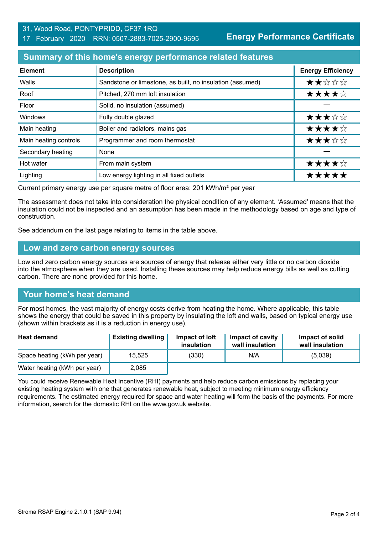#### 31, Wood Road, PONTYPRIDD, CF37 1RQ 17 February 2020 RRN: 0507-2883-7025-2900-9695

**Energy Performance Certificate**

#### **Summary of this home's energy performance related features**

| <b>Element</b>        | <b>Description</b>                                        | <b>Energy Efficiency</b> |
|-----------------------|-----------------------------------------------------------|--------------------------|
| Walls                 | Sandstone or limestone, as built, no insulation (assumed) | ★★☆☆☆                    |
| Roof                  | Pitched, 270 mm loft insulation                           | ★★★★☆                    |
| Floor                 | Solid, no insulation (assumed)                            |                          |
| Windows               | Fully double glazed                                       | ★★★☆☆                    |
| Main heating          | Boiler and radiators, mains gas                           | ★★★★☆                    |
| Main heating controls | Programmer and room thermostat                            | ★★★☆☆                    |
| Secondary heating     | None                                                      |                          |
| Hot water             | From main system                                          | ★★★★☆                    |
| Lighting              | Low energy lighting in all fixed outlets                  | *****                    |

Current primary energy use per square metre of floor area: 201 kWh/m² per year

The assessment does not take into consideration the physical condition of any element. 'Assumed' means that the insulation could not be inspected and an assumption has been made in the methodology based on age and type of construction.

See addendum on the last page relating to items in the table above.

#### **Low and zero carbon energy sources**

Low and zero carbon energy sources are sources of energy that release either very little or no carbon dioxide into the atmosphere when they are used. Installing these sources may help reduce energy bills as well as cutting carbon. There are none provided for this home.

#### **Your home's heat demand**

For most homes, the vast majority of energy costs derive from heating the home. Where applicable, this table shows the energy that could be saved in this property by insulating the loft and walls, based on typical energy use (shown within brackets as it is a reduction in energy use).

| <b>Heat demand</b>           | <b>Existing dwelling</b> | Impact of loft<br>insulation | Impact of cavity<br>wall insulation | Impact of solid<br>wall insulation |
|------------------------------|--------------------------|------------------------------|-------------------------------------|------------------------------------|
| Space heating (kWh per year) | 15.525                   | (330)                        | N/A                                 | (5,039)                            |
| Water heating (kWh per year) | 2,085                    |                              |                                     |                                    |

You could receive Renewable Heat Incentive (RHI) payments and help reduce carbon emissions by replacing your existing heating system with one that generates renewable heat, subject to meeting minimum energy efficiency requirements. The estimated energy required for space and water heating will form the basis of the payments. For more information, search for the domestic RHI on the www.gov.uk website.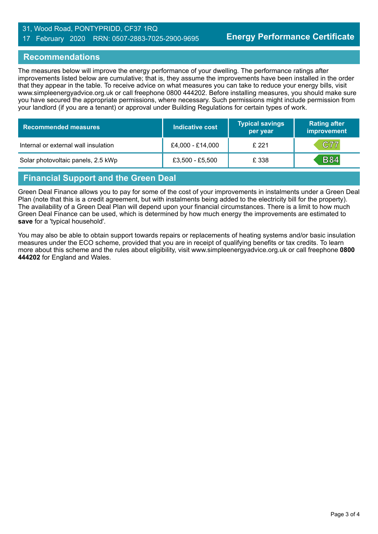#### 31, Wood Road, PONTYPRIDD, CF37 1RQ 17 February 2020 RRN: 0507-2883-7025-2900-9695

#### **Recommendations**

The measures below will improve the energy performance of your dwelling. The performance ratings after improvements listed below are cumulative; that is, they assume the improvements have been installed in the order that they appear in the table. To receive advice on what measures you can take to reduce your energy bills, visit www.simpleenergyadvice.org.uk or call freephone 0800 444202. Before installing measures, you should make sure you have secured the appropriate permissions, where necessary. Such permissions might include permission from your landlord (if you are a tenant) or approval under Building Regulations for certain types of work.

| <b>Recommended measures</b>          | Indicative cost   | <b>Typical savings</b><br>per year | <b>Rating after</b><br>improvement |
|--------------------------------------|-------------------|------------------------------------|------------------------------------|
| Internal or external wall insulation | £4,000 - £14,000  | £221                               | C77                                |
| Solar photovoltaic panels, 2.5 kWp   | $£3,500 - £5,500$ | £ 338                              | <b>B84</b>                         |

# **Financial Support and the Green Deal**

Green Deal Finance allows you to pay for some of the cost of your improvements in instalments under a Green Deal Plan (note that this is a credit agreement, but with instalments being added to the electricity bill for the property). The availability of a Green Deal Plan will depend upon your financial circumstances. There is a limit to how much Green Deal Finance can be used, which is determined by how much energy the improvements are estimated to **save** for a 'typical household'.

You may also be able to obtain support towards repairs or replacements of heating systems and/or basic insulation measures under the ECO scheme, provided that you are in receipt of qualifying benefits or tax credits. To learn more about this scheme and the rules about eligibility, visit www.simpleenergyadvice.org.uk or call freephone **0800 444202** for England and Wales.